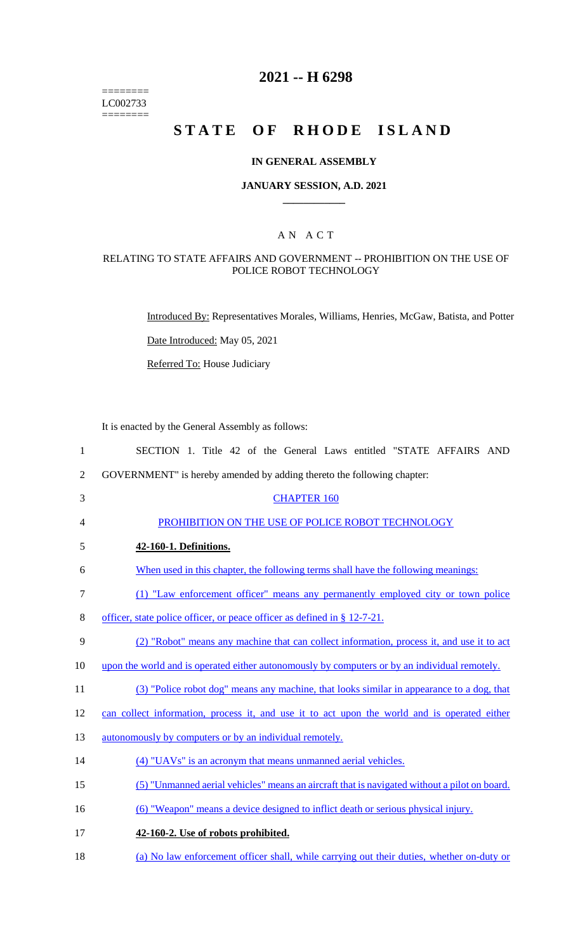======== LC002733 ========

## **2021 -- H 6298**

# **STATE OF RHODE ISLAND**

#### **IN GENERAL ASSEMBLY**

#### **JANUARY SESSION, A.D. 2021 \_\_\_\_\_\_\_\_\_\_\_\_**

### A N A C T

#### RELATING TO STATE AFFAIRS AND GOVERNMENT -- PROHIBITION ON THE USE OF POLICE ROBOT TECHNOLOGY

Introduced By: Representatives Morales, Williams, Henries, McGaw, Batista, and Potter

Date Introduced: May 05, 2021

Referred To: House Judiciary

It is enacted by the General Assembly as follows:

| $\mathbf{1}$   | SECTION 1. Title 42 of the General Laws entitled "STATE AFFAIRS AND                           |
|----------------|-----------------------------------------------------------------------------------------------|
| $\overline{2}$ | GOVERNMENT" is hereby amended by adding thereto the following chapter:                        |
| 3              | <b>CHAPTER 160</b>                                                                            |
| 4              | PROHIBITION ON THE USE OF POLICE ROBOT TECHNOLOGY                                             |
| 5              | 42-160-1. Definitions.                                                                        |
| 6              | When used in this chapter, the following terms shall have the following meanings:             |
| $\tau$         | (1) "Law enforcement officer" means any permanently employed city or town police              |
| 8              | officer, state police officer, or peace officer as defined in § 12-7-21.                      |
| 9              | (2) "Robot" means any machine that can collect information, process it, and use it to act     |
| 10             | upon the world and is operated either autonomously by computers or by an individual remotely. |
| 11             | (3) "Police robot dog" means any machine, that looks similar in appearance to a dog, that     |
| 12             | can collect information, process it, and use it to act upon the world and is operated either  |
| 13             | autonomously by computers or by an individual remotely.                                       |
| 14             | (4) "UAVs" is an acronym that means unmanned aerial vehicles.                                 |
| 15             | (5) "Unmanned aerial vehicles" means an aircraft that is navigated without a pilot on board.  |
| 16             | (6) "Weapon" means a device designed to inflict death or serious physical injury.             |
| 17             | 42-160-2. Use of robots prohibited.                                                           |
| 18             | (a) No law enforcement officer shall, while carrying out their duties, whether on-duty or     |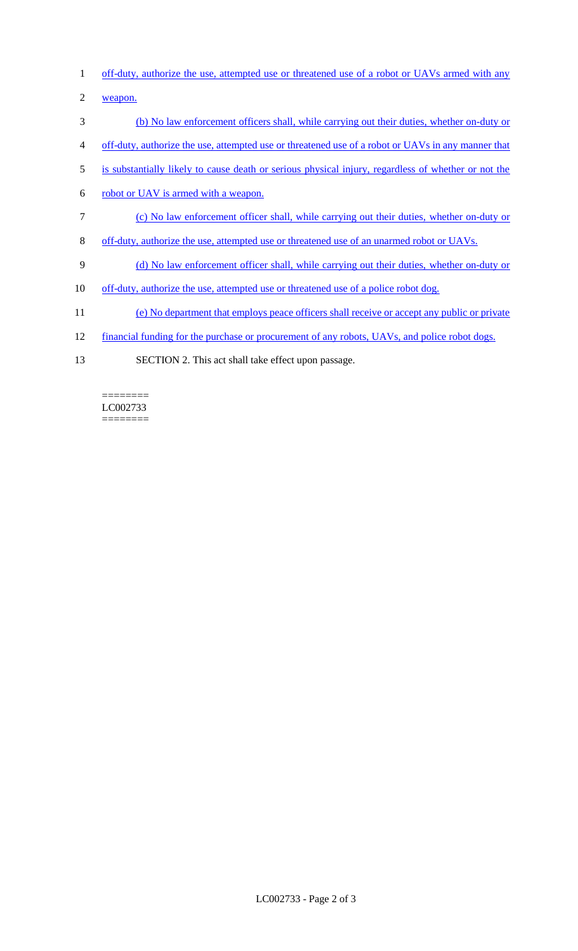- 1 off-duty, authorize the use, attempted use or threatened use of a robot or UAVs armed with any
- 2 weapon.
- 3 (b) No law enforcement officers shall, while carrying out their duties, whether on-duty or
- 4 off-duty, authorize the use, attempted use or threatened use of a robot or UAVs in any manner that
- 5 is substantially likely to cause death or serious physical injury, regardless of whether or not the
- 6 robot or UAV is armed with a weapon.
- 7 (c) No law enforcement officer shall, while carrying out their duties, whether on-duty or
- 8 off-duty, authorize the use, attempted use or threatened use of an unarmed robot or UAVs.
- 9 (d) No law enforcement officer shall, while carrying out their duties, whether on-duty or
- 10 off-duty, authorize the use, attempted use or threatened use of a police robot dog.
- 11 (e) No department that employs peace officers shall receive or accept any public or private
- 12 financial funding for the purchase or procurement of any robots, UAVs, and police robot dogs.
- 13 SECTION 2. This act shall take effect upon passage.

LC002733  $=$ 

========